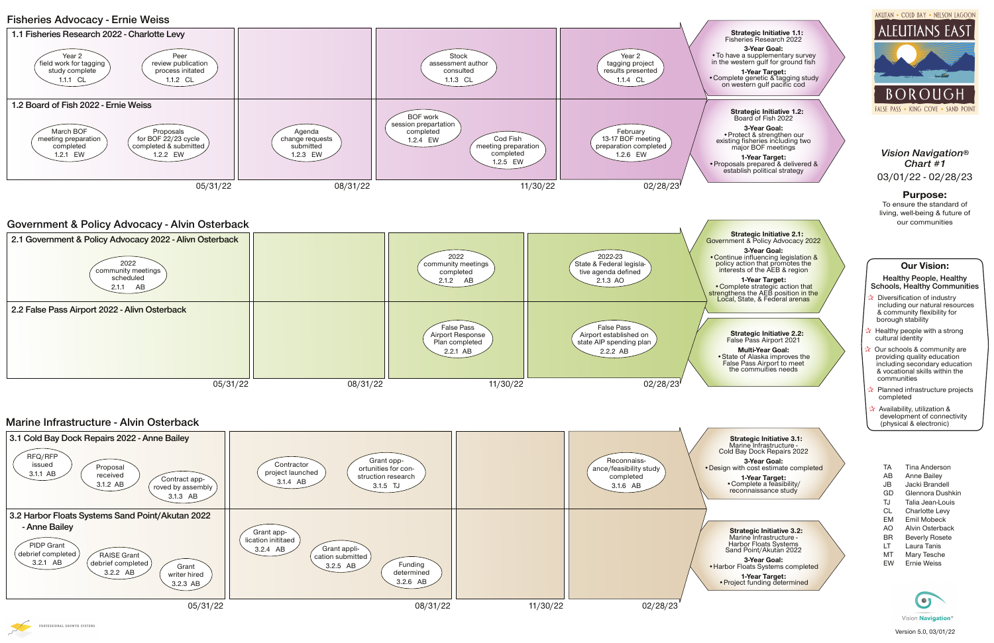# **Our Vision:**

#### **Healthy People, Healthy Schools, Healthy Communities**

- **Diversification of industry** including our natural resources & community flexibility for borough stability
- Healthy people with a strong cultural identity
- Our schools & community are providing quality education including secondary education & vocational skills within the communities
- Planned infrastructure projects completed
- **A** Availability, utilization & development of connectivity (physical & electronic)
	- TA Tina Anderson
	- AB Anne Bailey
	- JB Jacki Brandell
	- GD Glennora Dushkin TJ Talia Jean-Louis
	- CL Charlotte Levy
	- EM Emil Mobeck
	- AO Alvin Osterback
	- BR Beverly Rosete
	- LT Laura Tanis
	- MT Mary Tesche
	- EW Ernie Weiss



## *Vision Navigation® Chart #1* 03/01/22 - 02/28/23

## **Purpose:**

To ensure the standard of living, well-being & future of our communities

# **Fisheries Advocacy - Ernie Weiss**

#### **Strategic Initiative 1.1:** Fisheries Research 2022

**3-Year Goal:** •To have a supplementary survey in the western gulf for ground fish

**1-Year Target:** •Complete genetic & tagging study on western gulf pacific cod

# **Government & Policy Advocacy - Alvin Osterback**

 **Strategic Initiative 2.1:** Government & Policy Advocacy 2022

**3-Year Goal:** • Continue influencing legislation & policy action that promotes the interests of the AEB & region

**1-Year Target:** • Complete strategic action that strengthens the AEB position in the Local, State, & Federal arenas

> **1-Year Target:** •Complete a feasibility/ reconnaissance study

#### **Strategic Initiative 2.2:** False Pass Airport 2021

**Multi-Year Goal:** •State of Alaska improves the False Pass Airport to meet the commuities needs

#### **Strategic Initiative 1.2:** Board of Fish 2022

**3-Year Goal:** •Protect & strengthen our existing fisheries including two major BOF meetings

**1-Year Target:** •Proposals prepared & delivered & establish political strategy



 **Strategic Initiative 3.2:** Marine Infrastructure - Harbor Floats Systems Sand Point/Akutan 2022



**3-Year Goal:** •Harbor Floats Systems completed

**1-Year Target:** •Project funding determined AKUTAN . COLD BAY . NELSON LAGOON



# **Marine Infrastructure - Alvin Osterback**



 **Strategic Initiative 3.1:** Marine Infrastructure - Cold Bay Dock Repairs 2022

**3-Year Goal:** •Design with cost estimate completed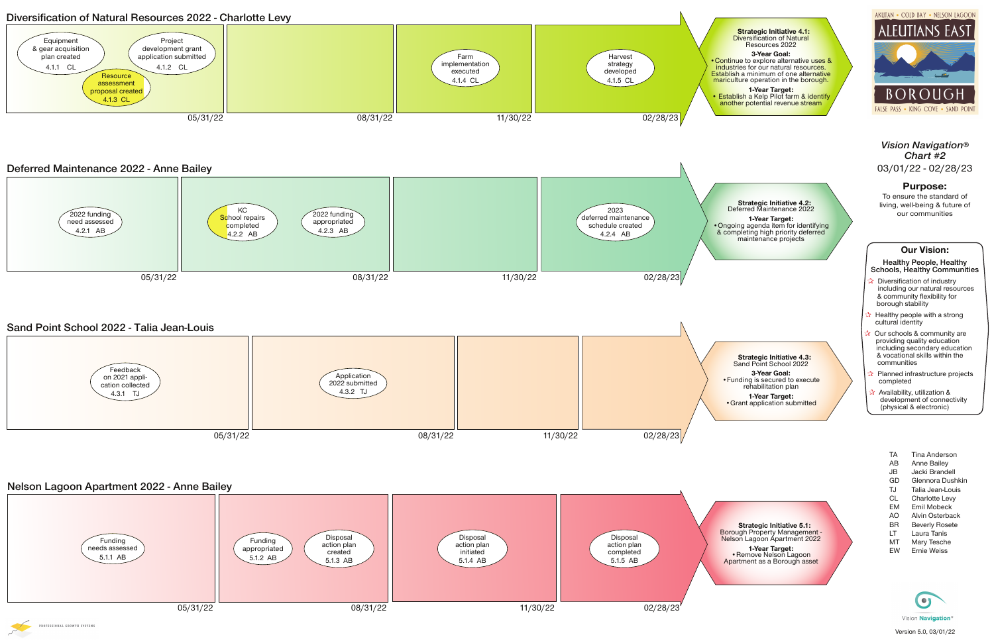# **Nelson Lagoon Apartment 2022 - Anne Bailey**

 **Strategic Initiative 5.1:** Borough Property Management - Nelson Lagoon Apartment 2022

**1-Year Target:** •Remove Nelson Lagoon Apartment as a Borough asset

# **Deferred Maintenance 2022 - Anne Bailey**

**Strategic Initiative 4.2:**

#### **3-Year Goal:** • Continue to explore alternative uses & industries for our natural resources. Establish a minimum of one alternative mariculture operation in the borough.



**1-Year Target:** • Establish a Kelp Pilot farm & identify another potential revenue stream

> **1-Year Target:** •Grant application submitted

AKUTAN . COLD BAY . NELSON LAGOON





 **Strategic Initiative 4.1: Diversification of Natural** Resources 2022



- **b** Diversification of industry including our natural resources & community flexibility for borough stability
- **A** Healthy people with a strong cultural identity
- Our schools & community are providing quality education including secondary education & vocational skills within the communities
- Planned infrastructure projects completed
- Availability, utilization & development of connectivity (physical & electronic)

**Diversification of Natural Resources 2022 - Charlotte Levy**



### **Our Vision:**



**Healthy People, Healthy Schools, Healthy Communities**

*Vision Navigation® Chart #2* 03/01/22 - 02/28/23

#### **Purpose:**

To ensure the standard of living, well-being & future of our communities



- TA Tina Anderson AB Anne Bailey JB Jacki Brandell GD Glennora Dushkin TJ Talia Jean-Louis CL Charlotte Levy EM Emil Mobeck AO Alvin Osterback BR Beverly Rosete LT Laura Tanis MT Mary Tesche
- EW Ernie Weiss